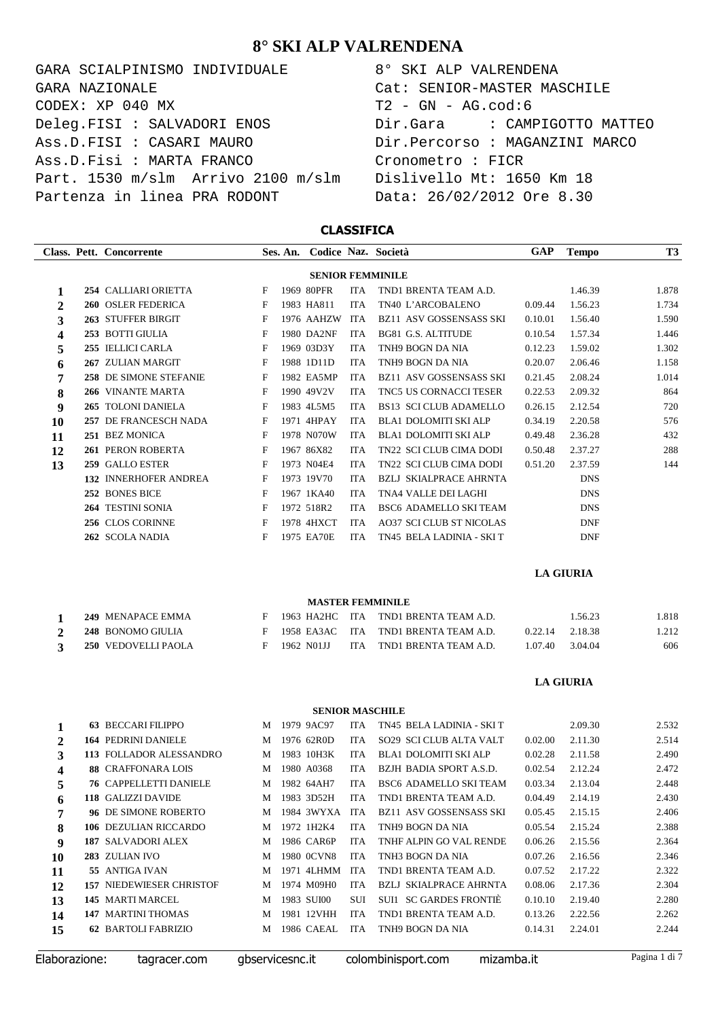| GARA SCIALPINISMO INDIVIDUALE      | 8° SKI ALP VALRENDENA          |
|------------------------------------|--------------------------------|
| GARA NAZIONALE                     | Cat: SENIOR-MASTER MASCHILE    |
| CODEX: XP 040 MX                   | $T2 - GN - AG.cod:6$           |
| Deleg.FISI : SALVADORI ENOS        | Dir.Gara : CAMPIGOTTO MATTEO   |
| Ass.D.FISI : CASARI MAURO          | Dir.Percorso : MAGANZINI MARCO |
| Ass.D.Fisi : MARTA FRANCO          | Cronometro : FICR              |
| Part. 1530 m/slm Arrivo 2100 m/slm | Dislivello Mt: 1650 Km 18      |
| Partenza in linea PRA RODONT       | Data: 26/02/2012 Ore 8.30      |

 $\frac{1}{2}$ 

| 8° SKI ALP VALRENDENA                    |
|------------------------------------------|
| Cat: SENIOR-MASTER MASCHILE              |
| T2 - GN - AG.cod:6                       |
| Dir.Gara               CAMPIGOTTO MATTEO |
| Dir.Percorso : MAGANZINI MARCO           |
| Cronometro : FICR                        |
| Dislivello Mt: 1650 Km 18                |
| Data: 26/02/2012 Ore 8.30                |

### **CLASSIFICA**

|    |                         | Class. Pett. Concorrente     |   | Ses. An. |            |            | Codice Naz. Società             | <b>GAP</b> | <b>Tempo</b> | <b>T3</b> |  |
|----|-------------------------|------------------------------|---|----------|------------|------------|---------------------------------|------------|--------------|-----------|--|
|    | <b>SENIOR FEMMINILE</b> |                              |   |          |            |            |                                 |            |              |           |  |
|    |                         | 254 CALLIARI ORIETTA         | F |          | 1969 80PFR | <b>ITA</b> | TND1 BRENTA TEAM A.D.           |            | 1.46.39      | 1.878     |  |
| 2  |                         | <b>260 OSLER FEDERICA</b>    | F |          | 1983 HA811 | <b>ITA</b> | TN40 L'ARCOBALENO               | 0.09.44    | 1.56.23      | 1.734     |  |
| 3  |                         | 263 STUFFER BIRGIT           | F |          | 1976 AAHZW | <b>ITA</b> | <b>BZ11 ASV GOSSENSASS SKI</b>  | 0.10.01    | 1.56.40      | 1.590     |  |
| 4  |                         | 253 BOTTI GIULIA             | F |          | 1980 DA2NF | <b>ITA</b> | <b>BG81 G.S. ALTITUDE</b>       | 0.10.54    | 1.57.34      | 1.446     |  |
| 5  | 255                     | <b>IELLICI CARLA</b>         | F |          | 1969 03D3Y | <b>ITA</b> | TNH9 BOGN DA NIA                | 0.12.23    | 1.59.02      | 1.302     |  |
| 6  |                         | 267 ZULIAN MARGIT            | F |          | 1988 1D11D | <b>ITA</b> | TNH9 BOGN DA NIA                | 0.20.07    | 2.06.46      | 1.158     |  |
| 7  |                         | 258 DE SIMONE STEFANIE       | F |          | 1982 EA5MP | <b>ITA</b> | <b>BZ11 ASV GOSSENSASS SKI</b>  | 0.21.45    | 2.08.24      | 1.014     |  |
| 8  |                         | 266 VINANTE MARTA            | F |          | 1990 49V2V | <b>ITA</b> | TNC5 US CORNACCI TESER          | 0.22.53    | 2.09.32      | 864       |  |
| 9  |                         | 265 TOLONI DANIELA           | F |          | 1983 4L5M5 | <b>ITA</b> | <b>BS13 SCI CLUB ADAMELLO</b>   | 0.26.15    | 2.12.54      | 720       |  |
| 10 | 257                     | DE FRANCESCH NADA            | F |          | 1971 4HPAY | <b>ITA</b> | <b>BLA1 DOLOMITI SKI ALP</b>    | 0.34.19    | 2.20.58      | 576       |  |
| 11 |                         | 251 BEZ MONICA               | F |          | 1978 N070W | <b>ITA</b> | <b>BLA1 DOLOMITI SKI ALP</b>    | 0.49.48    | 2.36.28      | 432       |  |
| 12 |                         | 261 PERON ROBERTA            | F |          | 1967 86X82 | <b>ITA</b> | TN22 SCI CLUB CIMA DODI         | 0.50.48    | 2.37.27      | 288       |  |
| 13 | 259                     | <b>GALLO ESTER</b>           | F |          | 1973 N04E4 | <b>ITA</b> | <b>TN22 SCI CLUB CIMA DODI</b>  | 0.51.20    | 2.37.59      | 144       |  |
|    |                         | <b>132 INNERHOFER ANDREA</b> | F |          | 1973 19V70 | <b>ITA</b> | <b>BZLJ SKIALPRACE AHRNTA</b>   |            | <b>DNS</b>   |           |  |
|    |                         | 252 BONES BICE               | F |          | 1967 1KA40 | <b>ITA</b> | <b>TNA4 VALLE DELLAGHI</b>      |            | <b>DNS</b>   |           |  |
|    |                         | 264 TESTINI SONIA            | F |          | 1972 518R2 | <b>ITA</b> | <b>BSC6 ADAMELLO SKI TEAM</b>   |            | <b>DNS</b>   |           |  |
|    |                         | 256 CLOS CORINNE             | F |          | 1978 4HXCT | <b>ITA</b> | <b>AO37 SCI CLUB ST NICOLAS</b> |            | <b>DNF</b>   |           |  |
|    |                         | 262 SCOLA NADIA              | F |          | 1975 EA70E | <b>ITA</b> | TN45 BELA LADINIA - SKI T       |            | <b>DNF</b>   |           |  |
|    |                         |                              |   |          |            |            |                                 |            |              |           |  |

**LA GIURIA**

#### **MASTER FEMMINILE**

| 249 MENAPACE EMMA   |            | F 1963 HA2HC ITA TND1 BRENTA TEAM A.D. |                 | 1.56.23 | .818  |
|---------------------|------------|----------------------------------------|-----------------|---------|-------|
| 248 BONOMO GIULIA   |            | F 1958 EA3AC ITA TND1 BRENTA TEAM A.D. | 0.22.14 2.18.38 |         | 1.212 |
| 250 VEDOVELLI PAOLA | 1962 NO1JJ | ITA TND1 BRENTA TEAM A.D.              | 1.07.40 3.04.04 |         | 606   |

### **LA GIURIA**

#### **SENIOR MASCHILE**

| 1                       | <b>63 BECCARI FILIPPO</b>       | M | 1979 9AC97 | <b>ITA</b> | TN45 BELA LADINIA - SKI T      |         | 2.09.30 | 2.532 |
|-------------------------|---------------------------------|---|------------|------------|--------------------------------|---------|---------|-------|
| $\mathbf{2}$            | <b>164 PEDRINI DANIELE</b>      | M | 1976 62R0D | <b>ITA</b> | <b>SO29 SCI CLUB ALTA VALT</b> | 0.02.00 | 2.11.30 | 2.514 |
| 3                       | 113 FOLLADOR ALESSANDRO         | M | 1983 10H3K | <b>ITA</b> | BLA1 DOLOMITI SKI ALP          | 0.02.28 | 2.11.58 | 2.490 |
| $\overline{\mathbf{4}}$ | 88 CRAFFONARA LOIS              | M | 1980 A0368 | <b>ITA</b> | BZJH BADIA SPORT A.S.D.        | 0.02.54 | 2.12.24 | 2.472 |
| 5                       | <b>76 CAPPELLETTI DANIELE</b>   | M | 1982 64AH7 | <b>ITA</b> | BSC6 ADAMELLO SKI TEAM         | 0.03.34 | 2.13.04 | 2.448 |
| 6                       | 118 GALIZZI DAVIDE              | M | 1983 3D52H | <b>ITA</b> | TND1 BRENTA TEAM A.D.          | 0.04.49 | 2.14.19 | 2.430 |
| 7                       | <b>96 DE SIMONE ROBERTO</b>     | M | 1984 3WYXA | <b>ITA</b> | BZ11 ASV GOSSENSASS SKI        | 0.05.45 | 2.15.15 | 2.406 |
| 8                       | 106 DEZULIAN RICCARDO           | M | 1972 1H2K4 | <b>ITA</b> | TNH9 BOGN DA NIA               | 0.05.54 | 2.15.24 | 2.388 |
| 9                       | 187 SALVADORI ALEX              | M | 1986 CAR6P | <b>ITA</b> | TNHE ALPIN GO VAL RENDE        | 0.06.26 | 2.15.56 | 2.364 |
| 10                      | 283 ZULIAN IVO                  | M | 1980 0CVN8 | <b>ITA</b> | TNH3 BOGN DA NIA               | 0.07.26 | 2.16.56 | 2.346 |
| 11                      | 55 ANTIGA IVAN                  | M | 1971 4LHMM | ITA.       | TND1 BRENTA TEAM A.D.          | 0.07.52 | 2.17.22 | 2.322 |
| 12                      | <b>157 NIEDEWIESER CHRISTOF</b> | M | 1974 M09H0 | <b>ITA</b> | <b>BZLJ SKIALPRACE AHRNTA</b>  | 0.08.06 | 2.17.36 | 2.304 |
| 13                      | 145 MARTI MARCEL                | M | 1983 SUI00 | <b>SUI</b> | SUIL SC GARDES FRONTIE         | 0.10.10 | 2.19.40 | 2.280 |
| 14                      | <b>147 MARTINI THOMAS</b>       | M | 1981 12VHH | <b>ITA</b> | TND1 BRENTA TEAM A.D.          | 0.13.26 | 2.22.56 | 2.262 |
| 15                      | <b>62 BARTOLI FABRIZIO</b>      | M | 1986 CAEAL | <b>ITA</b> | TNH9 BOGN DA NIA               | 0.14.31 | 2.24.01 | 2.244 |
|                         |                                 |   |            |            |                                |         |         |       |

|  | Elaborazione: |  |
|--|---------------|--|

tagracer.com gbservicesnc.it colombinisport.com mizamba.it Pagina 1 di 7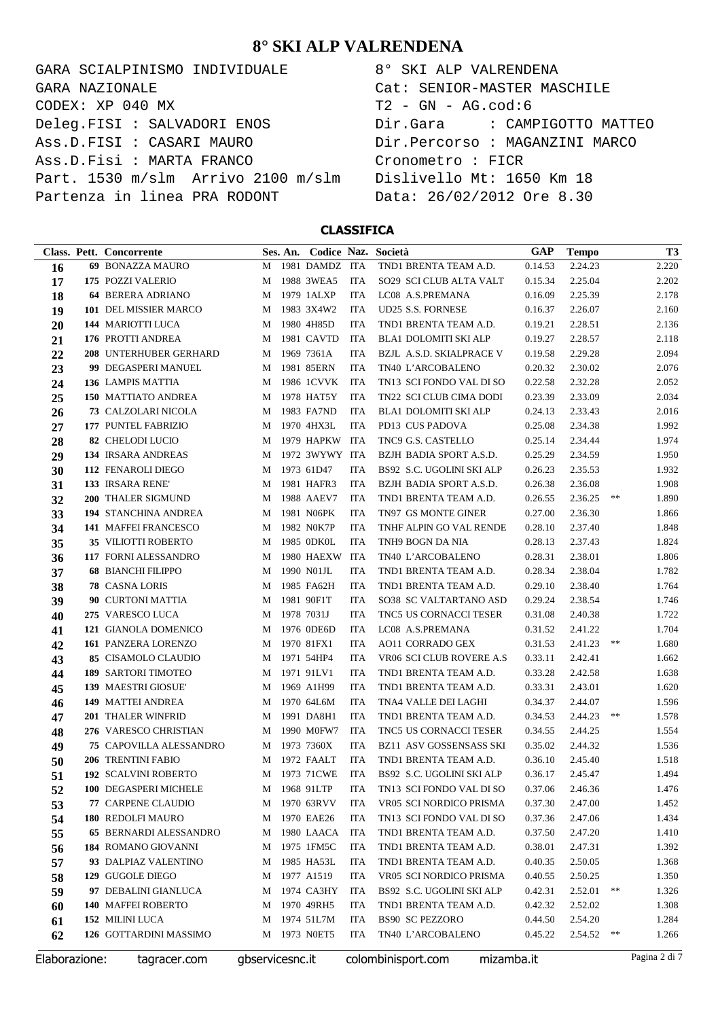GARA SCIALPINISMO INDIVIDUALE CODEX: XP 040 MX Deleg.FISI : SALVADORI ENOS Ass.D.FISI : CASARI MAURO Ass.D.Fisi : MARTA FRANCO Part. 1530 m/slm Arrivo 2100 m/slm Partenza in linea PRA RODONT GARA NAZIONALE

| 8° SKI ALP VALRENDENA          |
|--------------------------------|
| Cat: SENIOR-MASTER MASCHILE    |
| T2 - GN - AG.cod:6             |
| Dir.Gara : CAMPIGOTTO MATTEO   |
| Dir.Percorso : MAGANZINI MARCO |
| Cronometro : FICR              |
| Dislivello Mt: 1650 Km 18      |
| Data: 26/02/2012 Ore 8.30      |

#### **CLASSIFICA**

|               | Class. Pett. Concorrente       |                 | Ses. An. |                |            | Codice Naz. Società            | GAP        | <b>Tempo</b> |    | T <sub>3</sub> |
|---------------|--------------------------------|-----------------|----------|----------------|------------|--------------------------------|------------|--------------|----|----------------|
| 16            | 69 BONAZZA MAURO               | M               |          | 1981 DAMDZ ITA |            | TND1 BRENTA TEAM A.D.          | 0.14.53    | 2.24.23      |    | 2.220          |
| 17            | 175 POZZI VALERIO              | M               |          | 1988 3WEA5     | <b>ITA</b> | SO29 SCI CLUB ALTA VALT        | 0.15.34    | 2.25.04      |    | 2.202          |
| 18            | <b>64 BERERA ADRIANO</b>       | M               |          | 1979 1ALXP     | <b>ITA</b> | LC08 A.S.PREMANA               | 0.16.09    | 2.25.39      |    | 2.178          |
| 19            | 101 DEL MISSIER MARCO          | M               |          | 1983 3X4W2     | <b>ITA</b> | <b>UD25 S.S. FORNESE</b>       | 0.16.37    | 2.26.07      |    | 2.160          |
| 20            | 144 MARIOTTI LUCA              | M               |          | 1980 4H85D     | <b>ITA</b> | TND1 BRENTA TEAM A.D.          | 0.19.21    | 2.28.51      |    | 2.136          |
| 21            | 176 PROTTI ANDREA              | M               |          | 1981 CAVTD     | <b>ITA</b> | BLA1 DOLOMITI SKI ALP          | 0.19.27    | 2.28.57      |    | 2.118          |
| 22            | 208 UNTERHUBER GERHARD         | M               |          | 1969 7361A     | <b>ITA</b> | BZJL A.S.D. SKIALPRACE V       | 0.19.58    | 2.29.28      |    | 2.094          |
| 23            | 99 DEGASPERI MANUEL            | M               |          | 1981 85ERN     | <b>ITA</b> | TN40 L'ARCOBALENO              | 0.20.32    | 2.30.02      |    | 2.076          |
| 24            | 136 LAMPIS MATTIA              | M               |          | 1986 1CVVK     | ITA        | TN13 SCI FONDO VAL DI SO       | 0.22.58    | 2.32.28      |    | 2.052          |
| 25            | 150 MATTIATO ANDREA            | M               |          | 1978 HAT5Y     | <b>ITA</b> | TN22 SCI CLUB CIMA DODI        | 0.23.39    | 2.33.09      |    | 2.034          |
| 26            | 73 CALZOLARI NICOLA            | M               |          | 1983 FA7ND     | <b>ITA</b> | BLA1 DOLOMITI SKI ALP          | 0.24.13    | 2.33.43      |    | 2.016          |
| 27            | 177 PUNTEL FABRIZIO            | M               |          | 1970 4HX3L     | <b>ITA</b> | PD13 CUS PADOVA                | 0.25.08    | 2.34.38      |    | 1.992          |
| 28            | 82 CHELODI LUCIO               | M               |          | 1979 HAPKW     | ITA        | TNC9 G.S. CASTELLO             | 0.25.14    | 2.34.44      |    | 1.974          |
| 29            | 134 IRSARA ANDREAS             | M               |          | 1972 3WYWY ITA |            | BZJH BADIA SPORT A.S.D.        | 0.25.29    | 2.34.59      |    | 1.950          |
| 30            | 112 FENAROLI DIEGO             | M               |          | 1973 61D47     | <b>ITA</b> | BS92 S.C. UGOLINI SKI ALP      | 0.26.23    | 2.35.53      |    | 1.932          |
| 31            | 133 IRSARA RENE'               | M               |          | 1981 HAFR3     | <b>ITA</b> | BZJH BADIA SPORT A.S.D.        | 0.26.38    | 2.36.08      |    | 1.908          |
| 32            | 200 THALER SIGMUND             | M               |          | 1988 AAEV7     | <b>ITA</b> | TND1 BRENTA TEAM A.D.          | 0.26.55    | 2.36.25      | ** | 1.890          |
| 33            | 194 STANCHINA ANDREA           | M               |          | 1981 N06PK     | <b>ITA</b> | TN97 GS MONTE GINER            | 0.27.00    | 2.36.30      |    | 1.866          |
| 34            | 141 MAFFEI FRANCESCO           | M               |          | 1982 NOK7P     | <b>ITA</b> | TNHF ALPIN GO VAL RENDE        | 0.28.10    | 2.37.40      |    | 1.848          |
| 35            | 35 VILIOTTI ROBERTO            | M               |          | 1985 0DK0L     | <b>ITA</b> | TNH9 BOGN DA NIA               | 0.28.13    | 2.37.43      |    | 1.824          |
| 36            | 117 FORNI ALESSANDRO           | M               |          | 1980 HAEXW     | ITA        | TN40 L'ARCOBALENO              | 0.28.31    | 2.38.01      |    | 1.806          |
| 37            | <b>68 BIANCHI FILIPPO</b>      | M               |          | 1990 N01JL     | <b>ITA</b> | TND1 BRENTA TEAM A.D.          | 0.28.34    | 2.38.04      |    | 1.782          |
| 38            | 78 CASNA LORIS                 | M               |          | 1985 FA62H     | <b>ITA</b> | TND1 BRENTA TEAM A.D.          | 0.29.10    | 2.38.40      |    | 1.764          |
| 39            | 90 CURTONI MATTIA              | M               |          | 1981 90F1T     | <b>ITA</b> | SO38 SC VALTARTANO ASD         | 0.29.24    | 2.38.54      |    | 1.746          |
| 40            | 275 VARESCO LUCA               | M               |          | 1978 7031J     | <b>ITA</b> | TNC5 US CORNACCI TESER         | 0.31.08    | 2.40.38      |    | 1.722          |
| 41            | 121 GIANOLA DOMENICO           | M               |          | 1976 0DE6D     | <b>ITA</b> | LC08 A.S.PREMANA               | 0.31.52    | 2.41.22      |    | 1.704          |
| 42            | 161 PANZERA LORENZO            | M               |          | 1970 81FX1     | <b>ITA</b> | <b>AO11 CORRADO GEX</b>        | 0.31.53    | 2.41.23      | ** | 1.680          |
| 43            | 85 CISAMOLO CLAUDIO            | M               |          | 1971 54HP4     | <b>ITA</b> | VR06 SCI CLUB ROVERE A.S       | 0.33.11    | 2.42.41      |    | 1.662          |
| 44            | <b>189 SARTORI TIMOTEO</b>     | M               |          | 1971 91LV1     | <b>ITA</b> | TND1 BRENTA TEAM A.D.          | 0.33.28    | 2.42.58      |    | 1.638          |
| 45            | 139 MAESTRI GIOSUE'            | M               |          | 1969 A1H99     | <b>ITA</b> | TND1 BRENTA TEAM A.D.          | 0.33.31    | 2.43.01      |    | 1.620          |
| 46            | 149 MATTEI ANDREA              | M               |          | 1970 64L6M     | <b>ITA</b> | TNA4 VALLE DEI LAGHI           | 0.34.37    | 2.44.07      |    | 1.596          |
| 47            | 201 THALER WINFRID             | M               |          | 1991 DA8H1     | <b>ITA</b> | TND1 BRENTA TEAM A.D.          | 0.34.53    | 2.44.23      | ** | 1.578          |
| 48            | 276 VARESCO CHRISTIAN          | M               |          | 1990 M0FW7     | <b>ITA</b> | TNC5 US CORNACCI TESER         | 0.34.55    | 2.44.25      |    | 1.554          |
| 49            | <b>75 CAPOVILLA ALESSANDRO</b> | M               |          | 1973 7360X     | ITA        | <b>BZ11 ASV GOSSENSASS SKI</b> | 0.35.02    | 2.44.32      |    | 1.536          |
| 50            | 206 TRENTINI FABIO             | M               |          | 1972 FAALT     | <b>ITA</b> | TND1 BRENTA TEAM A.D.          | 0.36.10    | 2.45.40      |    | 1.518          |
| 51            | <b>192 SCALVINI ROBERTO</b>    | M               |          | 1973 71CWE     | <b>ITA</b> | BS92 S.C. UGOLINI SKI ALP      | 0.36.17    | 2.45.47      |    | 1.494          |
| 52            | 100 DEGASPERI MICHELE          | М               |          | 1968 91LTP     | ITA        | TN13 SCI FONDO VAL DI SO       | 0.37.06    | 2.46.36      |    | 1.476          |
| 53            | 77 CARPENE CLAUDIO             | M               |          | 1970 63RVV     | ITA        | VR05 SCI NORDICO PRISMA        | 0.37.30    | 2.47.00      |    | 1.452          |
| 54            | 180 REDOLFI MAURO              | M               |          | 1970 EAE26     | ITA        | TN13 SCI FONDO VAL DI SO       | 0.37.36    | 2.47.06      |    | 1.434          |
| 55            | <b>65 BERNARDI ALESSANDRO</b>  | M               |          | 1980 LAACA     | <b>ITA</b> | TND1 BRENTA TEAM A.D.          | 0.37.50    | 2.47.20      |    | 1.410          |
| 56            | 184 ROMANO GIOVANNI            | M               |          | 1975 1FM5C     | ITA        | TND1 BRENTA TEAM A.D.          | 0.38.01    | 2.47.31      |    | 1.392          |
| 57            | 93 DALPIAZ VALENTINO           | M               |          | 1985 HA53L     | ITA        | TND1 BRENTA TEAM A.D.          | 0.40.35    | 2.50.05      |    | 1.368          |
| 58            | 129 GUGOLE DIEGO               | M               |          | 1977 A1519     | ITA        | VR05 SCI NORDICO PRISMA        | 0.40.55    | 2.50.25      |    | 1.350          |
| 59            | 97 DEBALINI GIANLUCA           | M               |          | 1974 CA3HY     | ITA        | BS92 S.C. UGOLINI SKI ALP      | 0.42.31    | 2.52.01      | ** | 1.326          |
| 60            | 140 MAFFEI ROBERTO             | M               |          | 1970 49RH5     | ITA        | TND1 BRENTA TEAM A.D.          | 0.42.32    | 2.52.02      |    | 1.308          |
| 61            | 152 MILINI LUCA                | M               |          | 1974 51L7M     | ITA        | <b>BS90 SC PEZZORO</b>         | 0.44.50    | 2.54.20      |    | 1.284          |
| 62            | 126 GOTTARDINI MASSIMO         | М               |          | 1973 NOET5     | ITA        | TN40 L'ARCOBALENO              | 0.45.22    | 2.54.52      | ** | 1.266          |
| Elaborazione: | tagracer.com                   | gbservicesnc.it |          |                |            | colombinisport.com             | mizamba.it |              |    | Pagina 2 di 7  |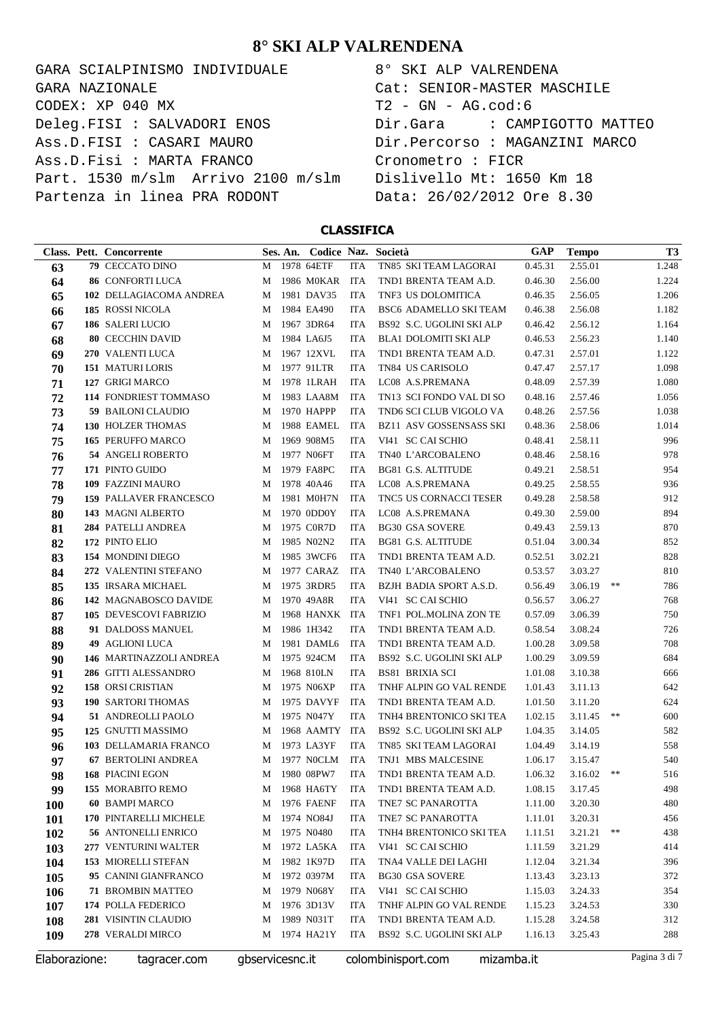GARA SCIALPINISMO INDIVIDUALE  $\texttt{CODEX}: \texttt{XP} \texttt{040} \texttt{MX}$ Deleg.FISI : SALVADORI ENOS Ass.D.FISI : CASARI MAURO Ass.D.Fisi : MARTA FRANCO Part. 1530 m/slm Arrivo 2100 m/slm Partenza in linea PRA RODONT GARA NAZIONALE

| 8° SKI ALP VALRENDENA                      |
|--------------------------------------------|
| Cat: SENIOR-MASTER MASCHILE                |
| T2 - GN - AG.cod:6                         |
| Dir.Gara                 CAMPIGOTTO MATTEO |
| Dir.Percorso : MAGANZINI MARCO             |
| Cronometro : FICR                          |
| Dislivello Mt: 1650 Km 18                  |
| Data: 26/02/2012 Ore 8.30                  |

### **CLASSIFICA**

|               | Class. Pett. Concorrente      |                 | Ses. An. Codice Naz. Società |            |                                  | <b>GAP</b> | <b>Tempo</b>    |    | T3            |
|---------------|-------------------------------|-----------------|------------------------------|------------|----------------------------------|------------|-----------------|----|---------------|
| 63            | 79 CECCATO DINO               | М               | 1978 64ETF                   | <b>ITA</b> | TN85 SKI TEAM LAGORAI            | 0.45.31    | 2.55.01         |    | 1.248         |
| 64            | <b>86 CONFORTI LUCA</b>       | M               | 1986 M0KAR                   | <b>ITA</b> | TND1 BRENTA TEAM A.D.            | 0.46.30    | 2.56.00         |    | 1.224         |
| 65            | 102 DELLAGIACOMA ANDREA       | M               | 1981 DAV35                   | <b>ITA</b> | TNF3 US DOLOMITICA               | 0.46.35    | 2.56.05         |    | 1.206         |
| 66            | 185 ROSSI NICOLA              | M               | 1984 EA490                   | <b>ITA</b> | BSC6 ADAMELLO SKI TEAM           | 0.46.38    | 2.56.08         |    | 1.182         |
| 67            | 186 SALERI LUCIO              | M               | 1967 3DR64                   | <b>ITA</b> | BS92 S.C. UGOLINI SKI ALP        | 0.46.42    | 2.56.12         |    | 1.164         |
| 68            | <b>80 CECCHIN DAVID</b>       | M               | 1984 LA6J5                   | <b>ITA</b> | BLA1 DOLOMITI SKI ALP            | 0.46.53    | 2.56.23         |    | 1.140         |
| 69            | 270 VALENTI LUCA              | M               | 1967 12XVL                   | <b>ITA</b> | TND1 BRENTA TEAM A.D.            | 0.47.31    | 2.57.01         |    | 1.122         |
| 70            | <b>151 MATURI LORIS</b>       | M               | 1977 91LTR                   | <b>ITA</b> | TN84 US CARISOLO                 | 0.47.47    | 2.57.17         |    | 1.098         |
| 71            | 127 GRIGI MARCO               | M               | 1978 1LRAH                   | <b>ITA</b> | LC08 A.S.PREMANA                 | 0.48.09    | 2.57.39         |    | 1.080         |
| 72            | 114 FONDRIEST TOMMASO         | M               | 1983 LAA8M                   | <b>ITA</b> | TN13 SCI FONDO VAL DI SO         | 0.48.16    | 2.57.46         |    | 1.056         |
| 73            | <b>59 BAILONI CLAUDIO</b>     | M               | 1970 HAPPP                   | <b>ITA</b> | TND6 SCI CLUB VIGOLO VA          | 0.48.26    | 2.57.56         |    | 1.038         |
| 74            | <b>130 HOLZER THOMAS</b>      | M               | 1988 EAMEL                   | <b>ITA</b> | <b>BZ11 ASV GOSSENSASS SKI</b>   | 0.48.36    | 2.58.06         |    | 1.014         |
| 75            | 165 PERUFFO MARCO             | M               | 1969 908M5                   | <b>ITA</b> | VI41 SC CAI SCHIO                | 0.48.41    | 2.58.11         |    | 996           |
| 76            | 54 ANGELI ROBERTO             | M               | 1977 N06FT                   | <b>ITA</b> | TN40 L'ARCOBALENO                | 0.48.46    | 2.58.16         |    | 978           |
| 77            | 171 PINTO GUIDO               | M               | 1979 FA8PC                   | <b>ITA</b> | <b>BG81 G.S. ALTITUDE</b>        | 0.49.21    | 2.58.51         |    | 954           |
| 78            | 109 FAZZINI MAURO             | M               | 1978 40A46                   | <b>ITA</b> | LC08 A.S.PREMANA                 | 0.49.25    | 2.58.55         |    | 936           |
| 79            | <b>159 PALLAVER FRANCESCO</b> | M               | 1981 M0H7N                   | <b>ITA</b> | TNC5 US CORNACCI TESER           | 0.49.28    | 2.58.58         |    | 912           |
| 80            | 143 MAGNI ALBERTO             | M               | 1970 0DD0Y                   | <b>ITA</b> | LC08 A.S.PREMANA                 | 0.49.30    | 2.59.00         |    | 894           |
| 81            | 284 PATELLI ANDREA            | M               | 1975 C0R7D                   | <b>ITA</b> | <b>BG30 GSA SOVERE</b>           | 0.49.43    | 2.59.13         |    | 870           |
| 82            | 172 PINTO ELIO                | M               | 1985 N02N2                   | <b>ITA</b> | <b>BG81 G.S. ALTITUDE</b>        | 0.51.04    | 3.00.34         |    | 852           |
| 83            | 154 MONDINI DIEGO             | M               | 1985 3WCF6                   | <b>ITA</b> | TND1 BRENTA TEAM A.D.            | 0.52.51    | 3.02.21         |    | 828           |
| 84            | 272 VALENTINI STEFANO         | M               | 1977 CARAZ                   | <b>ITA</b> | TN40 L'ARCOBALENO                | 0.53.57    | 3.03.27         |    | 810           |
| 85            | 135 IRSARA MICHAEL            | M               | 1975 3RDR5                   | <b>ITA</b> | BZJH BADIA SPORT A.S.D.          | 0.56.49    | 3.06.19         | ** | 786           |
| 86            | 142 MAGNABOSCO DAVIDE         | M               | 1970 49A8R                   | <b>ITA</b> | VI41 SC CAI SCHIO                | 0.56.57    | 3.06.27         |    | 768           |
| 87            | 105 DEVESCOVI FABRIZIO        | M               | 1968 HANXK ITA               |            | TNF1 POL.MOLINA ZON TE           | 0.57.09    | 3.06.39         |    | 750           |
| 88            | 91 DALDOSS MANUEL             | M               | 1986 1H342                   | <b>ITA</b> | TND1 BRENTA TEAM A.D.            | 0.58.54    | 3.08.24         |    | 726           |
| 89            | <b>49 AGLIONI LUCA</b>        | M               | 1981 DAML6                   | <b>ITA</b> | TND1 BRENTA TEAM A.D.            | 1.00.28    | 3.09.58         |    | 708           |
| 90            | 146 MARTINAZZOLI ANDREA       | M               | 1975 924CM                   | <b>ITA</b> | BS92 S.C. UGOLINI SKI ALP        | 1.00.29    | 3.09.59         |    | 684           |
| 91            | 286 GITTI ALESSANDRO          | M               | 1968 810LN                   | <b>ITA</b> | <b>BS81 BRIXIA SCI</b>           | 1.01.08    | 3.10.38         |    | 666           |
| 92            | 158 ORSI CRISTIAN             | M               | 1975 N06XP                   | <b>ITA</b> | TNHF ALPIN GO VAL RENDE          | 1.01.43    | 3.11.13         |    | 642           |
| 93            | <b>190 SARTORI THOMAS</b>     | M               | 1975 DAVYF                   | <b>ITA</b> | TND1 BRENTA TEAM A.D.            | 1.01.50    | 3.11.20         |    | 624           |
| 94            | 51 ANDREOLLI PAOLO            | M               | 1975 N047Y                   | <b>ITA</b> | TNH4 BRENTONICO SKI TEA          | 1.02.15    | 3.11.45         | ** | 600           |
| 95            | 125 GNUTTI MASSIMO            | M               | 1968 AAMTY                   | ITA        | BS92 S.C. UGOLINI SKI ALP        | 1.04.35    | 3.14.05         |    | 582           |
| 96            | 103 DELLAMARIA FRANCO         | M               | 1973 LA3YF                   | <b>ITA</b> | TN85 SKI TEAM LAGORAI            | 1.04.49    | 3.14.19         |    | 558           |
| 97            | 67 BERTOLINI ANDREA           | М               | 1977 NOCLM                   | <b>ITA</b> | TNJ1 MBS MALCESINE               | 1.06.17    | 3.15.47         |    | 540           |
| 98            | 168 PIACINI EGON              | M               | 1980 08PW7                   | <b>ITA</b> | TND1 BRENTA TEAM A.D.            | 1.06.32    | 3.16.02         | ** | 516           |
| 99            | 155 MORABITO REMO             |                 | M 1968 HA6TY ITA             |            | TND1 BRENTA TEAM A.D.            |            | 1.08.15 3.17.45 |    | 498           |
| <b>100</b>    | <b>60 BAMPI MARCO</b>         | M               | <b>1976 FAENF</b>            | ITA        | TNE7 SC PANAROTTA                | 1.11.00    | 3.20.30         |    | 480           |
| 101           | 170 PINTARELLI MICHELE        | M               | 1974 NO84J                   | ITA        | TNE7 SC PANAROTTA                | 1.11.01    | 3.20.31         |    | 456           |
| 102           | 56 ANTONELLI ENRICO           | M               | 1975 N0480                   | ITA        | TNH4 BRENTONICO SKI TEA          | 1.11.51    | 3.21.21         | ** | 438           |
| 103           | 277 VENTURINI WALTER          | M               | 1972 LA5KA                   | ITA        | VI41 SC CAI SCHIO                | 1.11.59    | 3.21.29         |    | 414           |
| 104           | 153 MIORELLI STEFAN           | M               | 1982 1K97D                   | ITA        | TNA4 VALLE DEI LAGHI             | 1.12.04    | 3.21.34         |    | 396           |
| 105           | 95 CANINI GIANFRANCO          | M               | 1972 0397M                   | ITA        | <b>BG30 GSA SOVERE</b>           | 1.13.43    | 3.23.13         |    | 372           |
| 106           | <b>71 BROMBIN MATTEO</b>      | M               | 1979 N068Y                   | ITA        | VI41 SC CAI SCHIO                | 1.15.03    | 3.24.33         |    | 354           |
| 107           | 174 POLLA FEDERICO            | M               | 1976 3D13V                   | ITA        | TNHF ALPIN GO VAL RENDE          | 1.15.23    | 3.24.53         |    | 330           |
| 108           | 281 VISINTIN CLAUDIO          | M               | 1989 N031T                   | ITA        | TND1 BRENTA TEAM A.D.            | 1.15.28    | 3.24.58         |    | 312           |
| 109           | 278 VERALDI MIRCO             | M               | 1974 HA21Y                   | <b>ITA</b> | BS92 S.C. UGOLINI SKI ALP        | 1.16.13    | 3.25.43         |    | 288           |
| Elaborazione: | tagracer.com                  | gbservicesnc.it |                              |            | colombinisport.com<br>mizamba.it |            |                 |    | Pagina 3 di 7 |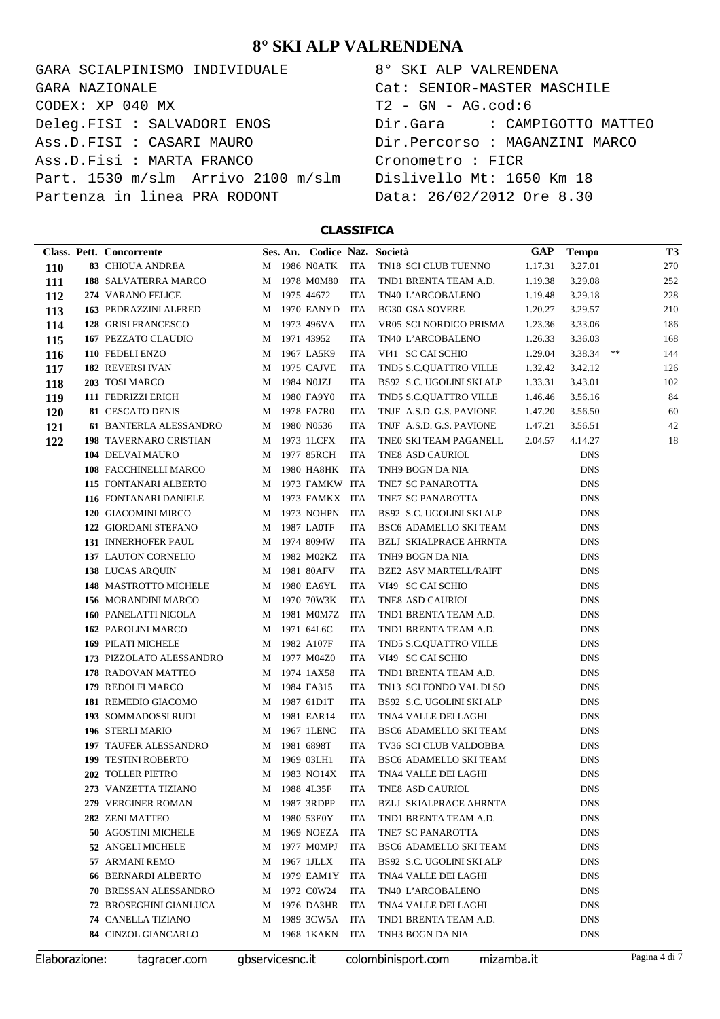GARA SCIALPINISMO INDIVIDUALE CODEX: XP 040 MX Deleg.FISI : SALVADORI ENOS Ass.D.FISI : CASARI MAURO Ass.D.Fisi : MARTA FRANCO Part. 1530 m/slm Arrivo 2100 m/slm Partenza in linea PRA RODONT GARA NAZIONALE

| 8° SKI ALP VALRENDENA                      |
|--------------------------------------------|
| Cat: SENIOR-MASTER MASCHILE                |
| T2 - GN - AG.cod:6                         |
| Dir.Gara                 CAMPIGOTTO MATTEO |
| Dir.Percorso : MAGANZINI MARCO             |
| Cronometro : FICR                          |
| Dislivello Mt: 1650 Km 18                  |
| Data: 26/02/2012 Ore 8.30                  |

#### **CLASSIFICA**

|            | Class. Pett. Concorrente      |   | Ses. An. Codice Naz. Società |     |                               | GAP     | <b>Tempo</b> |    | T <sub>3</sub> |
|------------|-------------------------------|---|------------------------------|-----|-------------------------------|---------|--------------|----|----------------|
| <b>110</b> | <b>83 CHIOUA ANDREA</b>       |   | M 1986 N0ATK                 | ITA | TN18 SCI CLUB TUENNO          | 1.17.31 | 3.27.01      |    | 270            |
| 111        | 188 SALVATERRA MARCO          |   | M 1978 M0M80                 | ITA | TND1 BRENTA TEAM A.D.         | 1.19.38 | 3.29.08      |    | 252            |
| 112        | 274 VARANO FELICE             |   | M 1975 44672                 | ITA | TN40 L'ARCOBALENO             | 1.19.48 | 3.29.18      |    | 228            |
| 113        | 163 PEDRAZZINI ALFRED         |   | M 1970 EANYD                 | ITA | <b>BG30 GSA SOVERE</b>        | 1.20.27 | 3.29.57      |    | 210            |
| 114        | 128 GRISI FRANCESCO           |   | M 1973 496VA                 | ITA | VR05 SCI NORDICO PRISMA       | 1.23.36 | 3.33.06      |    | 186            |
| 115        | 167 PEZZATO CLAUDIO           |   | M 1971 43952                 | ITA | TN40 L'ARCOBALENO             | 1.26.33 | 3.36.03      |    | 168            |
| 116        | 110 FEDELI ENZO               |   | M 1967 LA5K9                 | ITA | VI41 SC CAI SCHIO             | 1.29.04 | 3.38.34      | ** | 144            |
| 117        | 182 REVERSI IVAN              | M | 1975 CAJVE                   | ITA | TND5 S.C.OUATTRO VILLE        | 1.32.42 | 3.42.12      |    | 126            |
| 118        | 203 TOSI MARCO                | M | 1984 N0JZJ                   | ITA | BS92 S.C. UGOLINI SKI ALP     | 1.33.31 | 3.43.01      |    | 102            |
| 119        | 111 FEDRIZZI ERICH            |   | M 1980 FA9Y0                 | ITA | TND5 S.C.QUATTRO VILLE        | 1.46.46 | 3.56.16      |    | 84             |
| 120        | 81 CESCATO DENIS              |   | M 1978 FA7R0                 | ITA | TNJF A.S.D. G.S. PAVIONE      | 1.47.20 | 3.56.50      |    | 60             |
| 121        | 61 BANTERLA ALESSANDRO        |   | M 1980 N0536                 | ITA | TNJF A.S.D. G.S. PAVIONE      | 1.47.21 | 3.56.51      |    | 42             |
| 122        | 198 TAVERNARO CRISTIAN        |   | M 1973 1LCFX                 | ITA | TNE0 SKI TEAM PAGANELL        | 2.04.57 | 4.14.27      |    | 18             |
|            | 104 DELVAI MAURO              |   | M 1977 85RCH                 | ITA | TNE8 ASD CAURIOL              |         | <b>DNS</b>   |    |                |
|            | 108 FACCHINELLI MARCO         |   | M 1980 HA8HK                 | ITA | TNH9 BOGN DA NIA              |         | <b>DNS</b>   |    |                |
|            | 115 FONTANARI ALBERTO         |   | M 1973 FAMKW ITA             |     | TNE7 SC PANAROTTA             |         | <b>DNS</b>   |    |                |
|            | 116 FONTANARI DANIELE         |   | M 1973 FAMKX ITA             |     | TNE7 SC PANAROTTA             |         | <b>DNS</b>   |    |                |
|            | 120 GIACOMINI MIRCO           |   | M 1973 NOHPN                 | ITA | BS92 S.C. UGOLINI SKI ALP     |         | <b>DNS</b>   |    |                |
|            | 122 GIORDANI STEFANO          |   | M 1987 LA0TF                 | ITA | BSC6 ADAMELLO SKI TEAM        |         | <b>DNS</b>   |    |                |
|            | 131 INNERHOFER PAUL           |   | M 1974 8094W                 | ITA | BZLJ SKIALPRACE AHRNTA        |         | <b>DNS</b>   |    |                |
|            | 137 LAUTON CORNELIO           |   | M 1982 M02KZ                 | ITA | TNH9 BOGN DA NIA              |         | <b>DNS</b>   |    |                |
|            | 138 LUCAS ARQUIN              |   | M 1981 80AFV                 | ITA | <b>BZE2 ASV MARTELL/RAIFF</b> |         | <b>DNS</b>   |    |                |
|            | 148 MASTROTTO MICHELE         | M | 1980 EA6YL                   | ITA | VI49 SC CAI SCHIO             |         | <b>DNS</b>   |    |                |
|            | 156 MORANDINI MARCO           |   | M 1970 70W3K                 | ITA | TNE8 ASD CAURIOL              |         | <b>DNS</b>   |    |                |
|            | 160 PANELATTI NICOLA          |   | M 1981 M0M7Z                 | ITA | TND1 BRENTA TEAM A.D.         |         | <b>DNS</b>   |    |                |
|            | 162 PAROLINI MARCO            |   | M 1971 64L6C                 | ITA | TND1 BRENTA TEAM A.D.         |         | <b>DNS</b>   |    |                |
|            | 169 PILATI MICHELE            |   | M 1982 A107F                 | ITA | TND5 S.C.QUATTRO VILLE        |         | <b>DNS</b>   |    |                |
|            | 173 PIZZOLATO ALESSANDRO      |   | M 1977 M04Z0                 | ITA | VI49 SC CAI SCHIO             |         | <b>DNS</b>   |    |                |
|            | 178 RADOVAN MATTEO            |   | M 1974 1AX58                 | ITA | TND1 BRENTA TEAM A.D.         |         | <b>DNS</b>   |    |                |
|            | 179 REDOLFI MARCO             |   | M 1984 FA315                 | ITA | TN13 SCI FONDO VAL DI SO      |         | <b>DNS</b>   |    |                |
|            | 181 REMEDIO GIACOMO           |   | M 1987 61D1T                 | ITA | BS92 S.C. UGOLINI SKI ALP     |         | <b>DNS</b>   |    |                |
|            | 193 SOMMADOSSI RUDI           |   | M 1981 EAR14                 | ITA | TNA4 VALLE DEI LAGHI          |         | <b>DNS</b>   |    |                |
|            | 196 STERLI MARIO              | M | 1967 1LENC                   | ITA | BSC6 ADAMELLO SKI TEAM        |         | <b>DNS</b>   |    |                |
|            | 197 TAUFER ALESSANDRO         |   | M 1981 6898T                 | ITA | TV36 SCI CLUB VALDOBBA        |         | <b>DNS</b>   |    |                |
|            | <b>199 TESTINI ROBERTO</b>    | M | 1969 03LH1                   | ITA | BSC6 ADAMELLO SKI TEAM        |         | <b>DNS</b>   |    |                |
|            | 202 TOLLER PIETRO             |   | M 1983 NO14X                 | ITA | TNA4 VALLE DEI LAGHI          |         | <b>DNS</b>   |    |                |
|            | 273 VANZETTA TIZIANO          | M | 1988 4L35F                   | ITA | TNE8 ASD CAURIOL              |         | DNS          |    |                |
|            | 279 VERGINER ROMAN            | M | 1987 3RDPP                   | ITA | <b>BZLJ SKIALPRACE AHRNTA</b> |         | <b>DNS</b>   |    |                |
|            | 282 ZENI MATTEO               | M | 1980 53E0Y                   | ITA | TND1 BRENTA TEAM A.D.         |         | <b>DNS</b>   |    |                |
|            | 50 AGOSTINI MICHELE           | M | 1969 NOEZA                   | ITA | TNE7 SC PANAROTTA             |         | <b>DNS</b>   |    |                |
|            | 52 ANGELI MICHELE             | M | 1977 M0MPJ                   | ITA | <b>BSC6 ADAMELLO SKI TEAM</b> |         | <b>DNS</b>   |    |                |
|            | 57 ARMANI REMO                | M | 1967 1JLLX                   | ITA | BS92 S.C. UGOLINI SKI ALP     |         | DNS          |    |                |
|            | <b>66 BERNARDI ALBERTO</b>    | M | 1979 EAM1Y                   | ITA | TNA4 VALLE DEI LAGHI          |         | DNS          |    |                |
|            | 70 BRESSAN ALESSANDRO         | M | 1972 C0W24                   | ITA | TN40 L'ARCOBALENO             |         | <b>DNS</b>   |    |                |
|            | <b>72 BROSEGHINI GIANLUCA</b> | M | 1976 DA3HR                   | ITA | TNA4 VALLE DEI LAGHI          |         | <b>DNS</b>   |    |                |
|            | <b>74 CANELLA TIZIANO</b>     | M | 1989 3CW5A                   | ITA | TND1 BRENTA TEAM A.D.         |         | DNS          |    |                |
|            | 84 CINZOL GIANCARLO           | M | 1968 1KAKN                   | ITA | TNH3 BOGN DA NIA              |         | <b>DNS</b>   |    |                |

Elaborazione: tagracer.com gbservicesnc.it colombinisport.com mizamba.it Pagina 4 di 7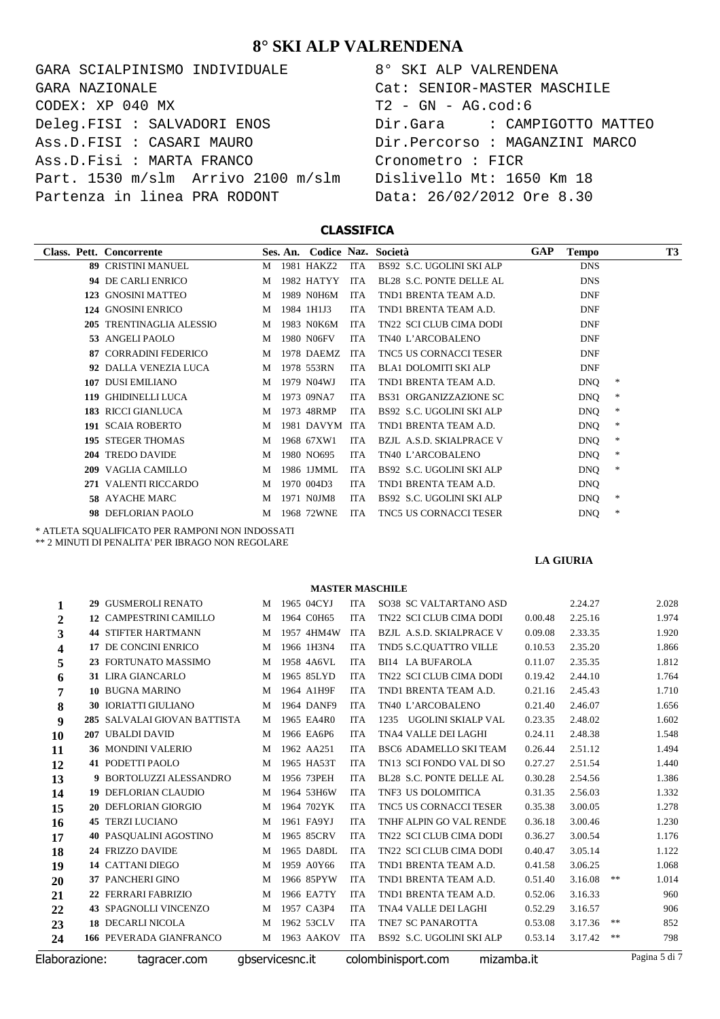| GARA SCIALPINISMO INDIVIDUALE      | 8° SKI ALP VALRENDENA          |
|------------------------------------|--------------------------------|
| GARA NAZIONALE                     | Cat: SENIOR-MASTER MASCHILE    |
| CODEX: XP 040 MX                   | $T2 - GN - AG.cod:6$           |
| Deleg.FISI : SALVADORI ENOS        | Dir.Gara : CAMPIGOTTO MATTEO   |
| Ass.D.FISI : CASARI MAURO          | Dir.Percorso : MAGANZINI MARCO |
| Ass.D.Fisi : MARTA FRANCO          | Cronometro : FICR              |
| Part. 1530 m/slm Arrivo 2100 m/slm | Dislivello Mt: 1650 Km 18      |
| Partenza in linea PRA RODONT       | Data: 26/02/2012 Ore 8.30      |

| 8° SKI ALP VALRENDENA          |
|--------------------------------|
| Cat: SENIOR-MASTER MASCHILE    |
| T2 - GN - AG.cod:6             |
|                                |
| Dir.Percorso : MAGANZINI MARCO |
| Cronometro : FICR              |
| Dislivello Mt: 1650 Km 18      |
| Data: 26/02/2012 Ore 8.30      |

### **CLASSIFICA**

| Class. Pett. | Concorrente                 |   | Ses. An. | Codice Naz. |            | Società                         | <b>GAP</b> | <b>Tempo</b> | <b>T3</b>     |
|--------------|-----------------------------|---|----------|-------------|------------|---------------------------------|------------|--------------|---------------|
|              | <b>89 CRISTINI MANUEL</b>   | M |          | 1981 HAKZ2  | <b>ITA</b> | BS92 S.C. UGOLINI SKI ALP       |            | <b>DNS</b>   |               |
|              | 94 DE CARLI ENRICO          | M |          | 1982 HATYY  | <b>ITA</b> | BL28 S.C. PONTE DELLE AL        |            | <b>DNS</b>   |               |
| 123          | <b>GNOSINI MATTEO</b>       | M |          | 1989 N0H6M  | <b>ITA</b> | TND1 BRENTA TEAM A.D.           |            | <b>DNF</b>   |               |
| 124          | <b>GNOSINI ENRICO</b>       | M |          | 1984 1H1J3  | <b>ITA</b> | TND1 BRENTA TEAM A.D.           |            | <b>DNF</b>   |               |
| 205          | <b>TRENTINAGLIA ALESSIO</b> | M |          | 1983 N0K6M  | <b>ITA</b> | TN22 SCI CLUB CIMA DODI         |            | <b>DNF</b>   |               |
|              | 53 ANGELI PAOLO             | M |          | 1980 N06FV  | <b>ITA</b> | TN40 L'ARCOBALENO               |            | <b>DNF</b>   |               |
| 87.          | <b>CORRADINI FEDERICO</b>   | M |          | 1978 DAEMZ  | <b>ITA</b> | TNC5 US CORNACCI TESER          |            | <b>DNF</b>   |               |
|              | 92 DALLA VENEZIA LUCA       | M |          | 1978 553RN  | <b>ITA</b> | <b>BLA1 DOLOMITI SKI ALP</b>    |            | <b>DNF</b>   |               |
| 107          | <b>DUSI EMILIANO</b>        | M |          | 1979 N04WJ  | <b>ITA</b> | TND1 BRENTA TEAM A.D.           |            | <b>DNQ</b>   | *             |
| 119          | <b>GHIDINELLI LUCA</b>      | M |          | 1973 09NA7  | <b>ITA</b> | <b>BS31 ORGANIZZAZIONE SC</b>   |            | <b>DNQ</b>   | $\ast$        |
|              | 183 RICCI GIANLUCA          | M |          | 1973 48RMP  | <b>ITA</b> | BS92 S.C. UGOLINI SKI ALP       |            | <b>DNQ</b>   | $\ast$        |
|              | 191 SCAIA ROBERTO           | M |          | 1981 DAVYM  | <b>ITA</b> | TND1 BRENTA TEAM A.D.           |            | <b>DNQ</b>   | $\ast$        |
|              | <b>195 STEGER THOMAS</b>    | M |          | 1968 67XW1  | <b>ITA</b> | <b>BZJL A.S.D. SKIALPRACE V</b> |            | <b>DNQ</b>   | $\ast$        |
| 204          | <b>TREDO DAVIDE</b>         | M |          | 1980 NO695  | <b>ITA</b> | TN40 L'ARCOBALENO               |            | <b>DNQ</b>   | *             |
| 209          | VAGLIA CAMILLO              | M |          | 1986 1JMML  | <b>ITA</b> | BS92 S.C. UGOLINI SKI ALP       |            | <b>DNQ</b>   | *             |
|              | 271 VALENTI RICCARDO        | M |          | 1970 004D3  | <b>ITA</b> | TND1 BRENTA TEAM A.D.           |            | <b>DNQ</b>   |               |
|              | <b>58 AYACHE MARC</b>       | M |          | 1971 NOJM8  | <b>ITA</b> | BS92 S.C. UGOLINI SKI ALP       |            | <b>DNQ</b>   | *             |
|              | 98 DEFLORIAN PAOLO          | M |          | 1968 72WNE  | <b>ITA</b> | <b>TNC5 US CORNACCI TESER</b>   |            | <b>DNQ</b>   | $\frac{1}{2}$ |

\* ATLETA SQUALIFICATO PER RAMPONI NON INDOSSATI

\*\* 2 MINUTI DI PENALITA' PER IBRAGO NON REGOLARE

**LA GIURIA**

| Elaborazione: | tagracer.com                  |   | gbservicesnc.it |            | colombinisport.com              | mizamba.it |         |    | Pagina 5 di 7 |
|---------------|-------------------------------|---|-----------------|------------|---------------------------------|------------|---------|----|---------------|
| 24            | 166 PEVERADA GIANFRANCO       | M | 1963 AAKOV      | <b>ITA</b> | BS92 S.C. UGOLINI SKI ALP       | 0.53.14    | 3.17.42 | ** | 798           |
| 23            | <b>18 DECARLI NICOLA</b>      | M | 1962 53CLV      | <b>ITA</b> | TNE7 SC PANAROTTA               | 0.53.08    | 3.17.36 | ** | 852           |
| 22            | <b>43 SPAGNOLLI VINCENZO</b>  | M | 1957 CA3P4      | <b>ITA</b> | TNA4 VALLE DEI LAGHI            | 0.52.29    | 3.16.57 |    | 906           |
| 21            | 22 FERRARI FABRIZIO           | M | 1966 EA7TY      | <b>ITA</b> | TND1 BRENTA TEAM A.D.           | 0.52.06    | 3.16.33 |    | 960           |
| 20            | <b>37 PANCHERI GINO</b>       | М | 1966 85PYW      | <b>ITA</b> | TND1 BRENTA TEAM A.D.           | 0.51.40    | 3.16.08 | ** | 1.014         |
| 19            | <b>14 CATTANI DIEGO</b>       | M | 1959 A0Y66      | <b>ITA</b> | TND1 BRENTA TEAM A.D.           | 0.41.58    | 3.06.25 |    | 1.068         |
| 18            | 24 FRIZZO DAVIDE              | M | 1965 DA8DL      | <b>ITA</b> | TN22 SCI CLUB CIMA DODI         | 0.40.47    | 3.05.14 |    | 1.122         |
| 17            | <b>40 PASOUALINI AGOSTINO</b> | M | 1965 85CRV      | <b>ITA</b> | TN22 SCI CLUB CIMA DODI         | 0.36.27    | 3.00.54 |    | 1.176         |
| 16            | <b>45 TERZI LUCIANO</b>       | M | 1961 FA9YJ      | <b>ITA</b> | TNHF ALPIN GO VAL RENDE         | 0.36.18    | 3.00.46 |    | 1.230         |
| 15            | 20 DEFLORIAN GIORGIO          | M | 1964 702YK      | <b>ITA</b> | <b>TNC5 US CORNACCI TESER</b>   | 0.35.38    | 3.00.05 |    | 1.278         |
| 14            | <b>19 DEFLORIAN CLAUDIO</b>   | M | 1964 53H6W      | <b>ITA</b> | TNF3 US DOLOMITICA              | 0.31.35    | 2.56.03 |    | 1.332         |
| 13            | 9 BORTOLUZZI ALESSANDRO       | M | 1956 73PEH      | <b>ITA</b> | BL28 S.C. PONTE DELLE AL        | 0.30.28    | 2.54.56 |    | 1.386         |
| 12            | <b>41 PODETTI PAOLO</b>       | M | 1965 HA53T      | <b>ITA</b> | TN13 SCI FONDO VAL DI SO        | 0.27.27    | 2.51.54 |    | 1.440         |
| 11            | <b>36 MONDINI VALERIO</b>     | M | 1962 AA251      | <b>ITA</b> | <b>BSC6 ADAMELLO SKI TEAM</b>   | 0.26.44    | 2.51.12 |    | 1.494         |
| 10            | 207 UBALDI DAVID              | M | 1966 EA6P6      | <b>ITA</b> | TNA4 VALLE DEI LAGHI            | 0.24.11    | 2.48.38 |    | 1.548         |
| 9             | 285 SALVALAI GIOVAN BATTISTA  | M | 1965 EA4R0      | <b>ITA</b> | 1235 UGOLINI SKIALP VAL         | 0.23.35    | 2.48.02 |    | 1.602         |
| 8             | <b>30 IORIATTI GIULIANO</b>   | M | 1964 DANF9      | <b>ITA</b> | TN40 L'ARCOBALENO               | 0.21.40    | 2.46.07 |    | 1.656         |
| 7             | <b>10 BUGNA MARINO</b>        | М | 1964 A1H9F      | <b>ITA</b> | TND1 BRENTA TEAM A.D.           | 0.21.16    | 2.45.43 |    | 1.710         |
| 6             | 31 LIRA GIANCARLO             | M | 1965 85LYD      | <b>ITA</b> | TN22 SCI CLUB CIMA DODI         | 0.19.42    | 2.44.10 |    | 1.764         |
| 5             | 23 FORTUNATO MASSIMO          | M | 1958 4A6VL      | <b>ITA</b> | <b>BI14 LA BUFAROLA</b>         | 0.11.07    | 2.35.35 |    | 1.812         |
| 4             | 17 DE CONCINI ENRICO          | M | 1966 1H3N4      | <b>ITA</b> | TND5 S.C.OUATTRO VILLE          | 0.10.53    | 2.35.20 |    | 1.866         |
| 3             | <b>44 STIFTER HARTMANN</b>    | M | 1957 4HM4W      | <b>ITA</b> | <b>BZJL A.S.D. SKIALPRACE V</b> | 0.09.08    | 2.33.35 |    | 1.920         |
| 1<br>2        | <b>12 CAMPESTRINI CAMILLO</b> | M | 1964 C0H65      | <b>ITA</b> | TN22 SCI CLUB CIMA DODI         | 0.00.48    | 2.25.16 |    | 1.974         |
|               | <b>29 GUSMEROLI RENATO</b>    | M | 1965 04CYJ      | <b>ITA</b> | SO38 SC VALTARTANO ASD          |            | 2.24.27 |    | 2.028         |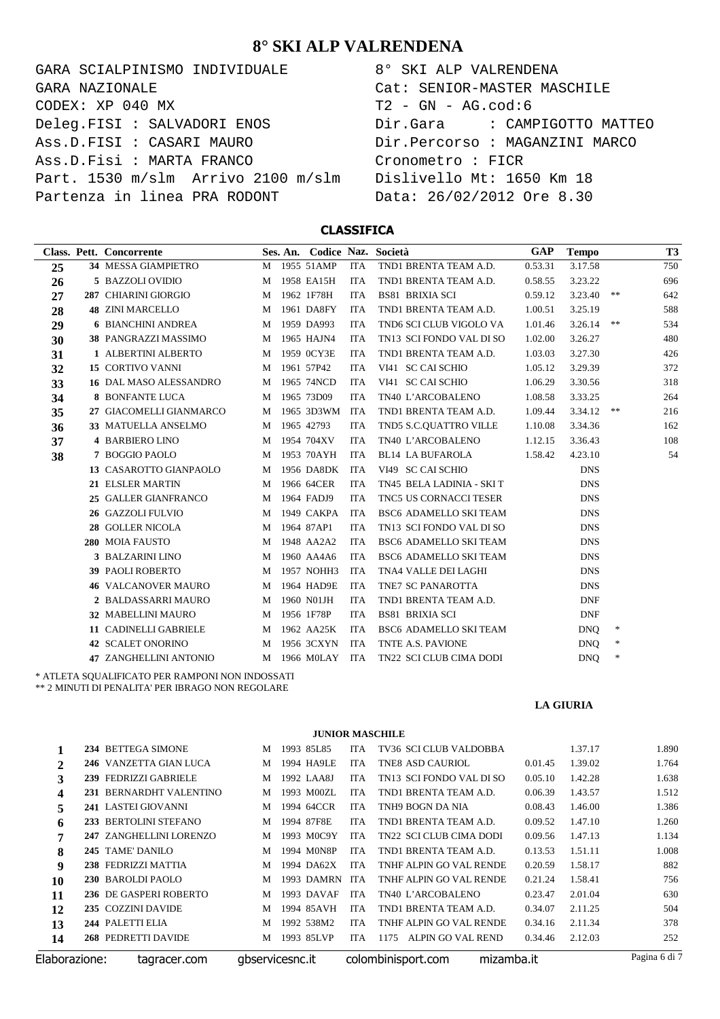GARA SCIALPINISMO INDIVIDUALE  $CODEX: XP 040 MX$ Deleg.FISI : SALVADORI ENOS Ass.D.FISI : CASARI MAURO Ass.D.Fisi : MARTA FRANCO Part. 1530 m/slm Arrivo 2100 m/slm Partenza in linea PRA RODONT GARA NAZIONALE

| 8° SKI ALP VALRENDENA                      |
|--------------------------------------------|
| Cat: SENIOR-MASTER MASCHILE                |
| T2 - GN - AG.cod:6                         |
| Dir.Gara                 CAMPIGOTTO MATTEO |
| Dir.Percorso : MAGANZINI MARCO             |
| Cronometro : FICR                          |
| Dislivello Mt: 1650 Km 18                  |
| Data: 26/02/2012 Ore 8.30                  |

#### **CLASSIFICA**

|    | Class. Pett. Concorrente      |   | Ses. An. Codice Naz. Società |            |                               | GAP     | <b>Tempo</b> |        | T <sub>3</sub> |
|----|-------------------------------|---|------------------------------|------------|-------------------------------|---------|--------------|--------|----------------|
| 25 | 34 MESSA GIAMPIETRO           |   | M 1955 51AMP                 | ITA        | TND1 BRENTA TEAM A.D.         | 0.53.31 | 3.17.58      |        | 750            |
| 26 | 5 BAZZOLI OVIDIO              | M | 1958 EA15H                   | <b>ITA</b> | TND1 BRENTA TEAM A.D.         | 0.58.55 | 3.23.22      |        | 696            |
| 27 | 287 CHIARINI GIORGIO          | M | 1962 1F78H                   | <b>ITA</b> | <b>BS81 BRIXIA SCI</b>        | 0.59.12 | 3.23.40      | **     | 642            |
| 28 | <b>48 ZINI MARCELLO</b>       | M | 1961 DA8FY                   | <b>ITA</b> | TND1 BRENTA TEAM A.D.         | 1.00.51 | 3.25.19      |        | 588            |
| 29 | <b>6 BIANCHINI ANDREA</b>     | M | 1959 DA993                   | <b>ITA</b> | TND6 SCI CLUB VIGOLO VA       | 1.01.46 | 3.26.14      | **     | 534            |
| 30 | 38 PANGRAZZI MASSIMO          | M | 1965 HAJN4                   | <b>ITA</b> | TN13 SCI FONDO VAL DI SO      | 1.02.00 | 3.26.27      |        | 480            |
| 31 | 1 ALBERTINI ALBERTO           | M | 1959 0CY3E                   | <b>ITA</b> | TND1 BRENTA TEAM A.D.         | 1.03.03 | 3.27.30      |        | 426            |
| 32 | 15 CORTIVO VANNI              | M | 1961 57P42                   | <b>ITA</b> | VI41 SC CAI SCHIO             | 1.05.12 | 3.29.39      |        | 372            |
| 33 | <b>16 DAL MASO ALESSANDRO</b> | M | 1965 74NCD                   | <b>ITA</b> | VI41 SC CAI SCHIO             | 1.06.29 | 3.30.56      |        | 318            |
| 34 | <b>8 BONFANTE LUCA</b>        | M | 1965 73D09                   | <b>ITA</b> | TN40 L'ARCOBALENO             | 1.08.58 | 3.33.25      |        | 264            |
| 35 | 27 GIACOMELLI GIANMARCO       | M | 1965 3D3WM ITA               |            | TND1 BRENTA TEAM A.D.         | 1.09.44 | 3.34.12      | **     | 216            |
| 36 | 33 MATUELLA ANSELMO           | M | 1965 42793                   | <b>ITA</b> | TND5 S.C.QUATTRO VILLE        | 1.10.08 | 3.34.36      |        | 162            |
| 37 | 4 BARBIERO LINO               | M | 1954 704XV                   | <b>ITA</b> | TN40 L'ARCOBALENO             | 1.12.15 | 3.36.43      |        | 108            |
| 38 | 7 BOGGIO PAOLO                | M | 1953 70AYH                   | <b>ITA</b> | <b>BL14 LA BUFAROLA</b>       | 1.58.42 | 4.23.10      |        | 54             |
|    | 13 CASAROTTO GIANPAOLO        | M | 1956 DA8DK                   | <b>ITA</b> | VI49 SC CAI SCHIO             |         | <b>DNS</b>   |        |                |
|    | 21 ELSLER MARTIN              | M | 1966 64CER                   | <b>ITA</b> | TN45 BELA LADINIA - SKI T     |         | <b>DNS</b>   |        |                |
|    | 25 GALLER GIANFRANCO          | M | 1964 FADJ9                   | <b>ITA</b> | TNC5 US CORNACCI TESER        |         | <b>DNS</b>   |        |                |
|    | 26 GAZZOLI FULVIO             | M | 1949 CAKPA                   | <b>ITA</b> | <b>BSC6 ADAMELLO SKI TEAM</b> |         | <b>DNS</b>   |        |                |
|    | 28 GOLLER NICOLA              | M | 1964 87AP1                   | <b>ITA</b> | TN13 SCI FONDO VAL DI SO      |         | <b>DNS</b>   |        |                |
|    | 280 MOIA FAUSTO               | M | 1948 AA2A2                   | <b>ITA</b> | <b>BSC6 ADAMELLO SKI TEAM</b> |         | <b>DNS</b>   |        |                |
|    | 3 BALZARINI LINO              | M | 1960 AA4A6                   | <b>ITA</b> | <b>BSC6 ADAMELLO SKI TEAM</b> |         | <b>DNS</b>   |        |                |
|    | <b>39 PAOLI ROBERTO</b>       | M | 1957 NOHH3                   | <b>ITA</b> | TNA4 VALLE DEI LAGHI          |         | <b>DNS</b>   |        |                |
|    | <b>46 VALCANOVER MAURO</b>    | M | 1964 HAD9E                   | <b>ITA</b> | TNE7 SC PANAROTTA             |         | <b>DNS</b>   |        |                |
|    | 2 BALDASSARRI MAURO           | M | 1960 N01JH                   | <b>ITA</b> | TND1 BRENTA TEAM A.D.         |         | <b>DNF</b>   |        |                |
|    | 32 MABELLINI MAURO            | M | 1956 1F78P                   | <b>ITA</b> | <b>BS81 BRIXIA SCI</b>        |         | <b>DNF</b>   |        |                |
|    | 11 CADINELLI GABRIELE         | M | 1962 AA25K                   | <b>ITA</b> | <b>BSC6 ADAMELLO SKI TEAM</b> |         | <b>DNO</b>   | $\ast$ |                |
|    | 42 SCALET ONORINO             | M | 1956 3CXYN                   | <b>ITA</b> | TNTE A.S. PAVIONE             |         | <b>DNO</b>   | *      |                |
|    | <b>47 ZANGHELLINI ANTONIO</b> |   | M 1966 MOLAY ITA             |            | TN22 SCI CLUB CIMA DODI       |         | <b>DNQ</b>   | *      |                |
|    |                               |   |                              |            |                               |         |              |        |                |

\* ATLETA SQUALIFICATO PER RAMPONI NON INDOSSATI

\*\* 2 MINUTI DI PENALITA' PER IBRAGO NON REGOLARE

**LA GIURIA**

**JUNIOR MASCHILE 234** BETTEGA SIMONE M 1993 85L85 ITA TV36 SCI CLUB VALDOBBA 1.37.17 1.890 **246** VANZETTA GIAN LUCA M 1994 HA9LE ITA TNE8 ASD CAURIOL 0.01.45 1.39.02 1.764<br>**229** FEDRIZZI GABRIELE M 1992 LAA8J ITA TN13 SCI FONDO VAL DI SO 0.05.10 1.42.28 1.638 **239** FEDRIZZI GABRIELE M 1992 LAA8J ITA TN13 SCI FONDO VAL DI SO 0.05.10 1.42.28 1.638<br>**231** BERNARDHT VALENTINO M 1993 M00ZL ITA TNDI BRENTA TEAM A.D. 0.06.39 1.43.57 1.512 **231** BERNARDHT VALENTINO M 1993 M00ZL ITA TND1 BRENTA TEAM A.D. 0.06.39 1.43.57 1.512 **241** LASTEI GIOVANNI M 1994 64CCR ITA TNH9 BOGN DA NIA 0.08.43 1.46.00 1.386 **233** BERTOLINI STEFANO M 1994 87F8E ITA TND1 BRENTA TEAM A.D. 0.09.52 1.47.10 1.260 **247** ZANGHELLINI LORENZO M 1993 MOC9Y ITA TN22 SCI CLUB CIMA DODI 0.09.56 1.47.13 1.134 **245** TAME' DANILO M 1994 MON8P ITA TND1 BRENTA TEAM A.D. 0.13.53 1.51.11 1.008 **238** FEDRIZZI MATTIA M 1994 DA62X ITA TNHF ALPIN GO VAL RENDE 0.20.59 1.58.17 882 **230** BAROLDI PAOLO M 1993 DAMRN ITA TNHF ALPIN GO VAL RENDE 0.21.24 1.58.41 756 **236** DE GASPERI ROBERTO M 1993 DAVAF ITA TN40 L'ARCOBALENO 0.23.47 2.01.04 630 **235** COZZINI DAVIDE M 1994 85AVH ITA TND1 BRENTA TEAM A.D. 0.34.07 2.11.25 504 **244** PALETTI ELIA M 1992 538M2 ITA TNHF ALPIN GO VAL RENDE 0.34.16 2.11.34 378 **268** PEDRETTI DAVIDE M 1993 85LVP ITA 1175 ALPIN GO VAL REND 0.34.46 2.12.03 252

Elaborazione: tagracer.com gbservicesnc.it colombinisport.com mizamba.it Pagina 6 di 7